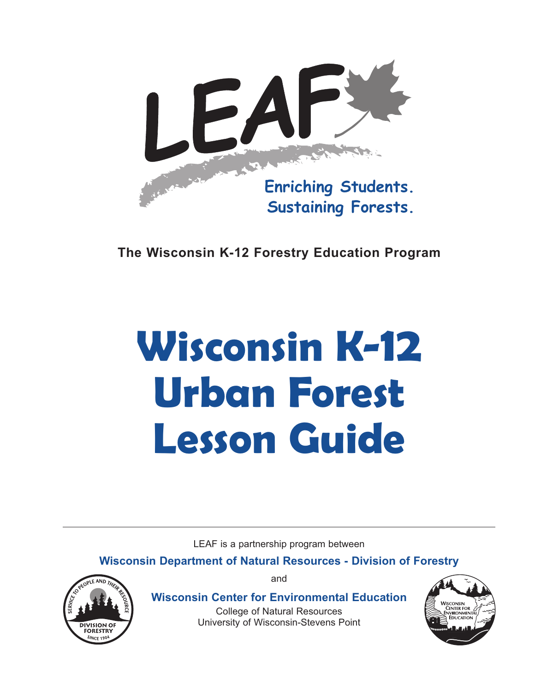

**The Wisconsin K-12 Forestry Education Program**

# **Wisconsin K-12 Urban Forest Lesson Guide**

LEAF is a partnership program between

**Wisconsin Department of Natural Resources - Division of Forestry**



and

**Wisconsin Center for Environmental Education**

College of Natural Resources University of Wisconsin-Stevens Point

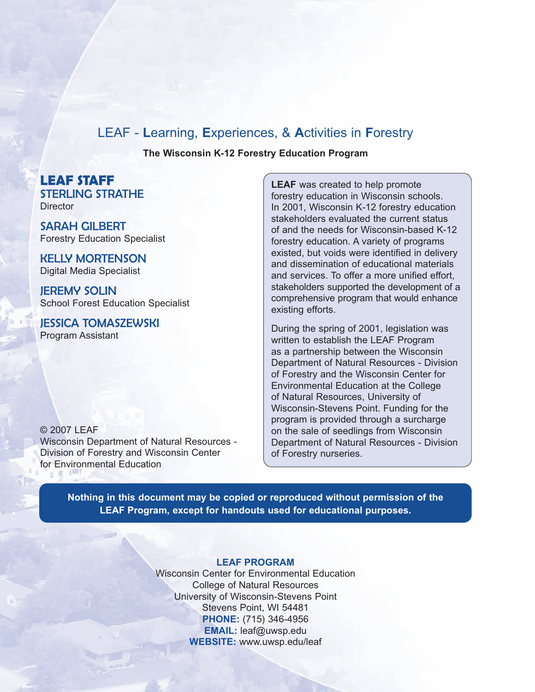### LEAF - **L**earning, **E**xperiences, & **A**ctivities in **F**orestry

**The Wisconsin K-12 Forestry Education Program**

**LEAF STAFF** STERLING STRATHE **Director** 

SARAH GILBERT Forestry Education Specialist

KELLY MORTENSON Digital Media Specialist

JEREMY SOLIN School Forest Education Specialist

JESSICA TOMASZEWSKI Program Assistant

© 2007 LEAF Wisconsin Department of Natural Resources - Division of Forestry and Wisconsin Center for Environmental Education

**LEAF** was created to help promote forestry education in Wisconsin schools. In 2001, Wisconsin K-12 forestry education stakeholders evaluated the current status of and the needs for Wisconsin-based K-12 forestry education. A variety of programs existed, but voids were identified in delivery and dissemination of educational materials and services. To offer a more unified effort, stakeholders supported the development of a comprehensive program that would enhance existing efforts.

During the spring of 2001, legislation was written to establish the LEAF Program as a partnership between the Wisconsin Department of Natural Resources - Division of Forestry and the Wisconsin Center for Environmental Education at the College of Natural Resources, University of Wisconsin-Stevens Point. Funding for the program is provided through a surcharge on the sale of seedlings from Wisconsin Department of Natural Resources - Division of Forestry nurseries.

**Nothing in this document may be copied or reproduced without permission of the LEAF Program, except for handouts used for educational purposes.**

#### **LEAF PROGRAM**

Wisconsin Center for Environmental Education College of Natural Resources University of Wisconsin-Stevens Point Stevens Point, WI 54481 **PHONE:** (715) 346-4956 **EMAIL:** leaf@uwsp.edu **WEBSITE:** www.uwsp.edu/leaf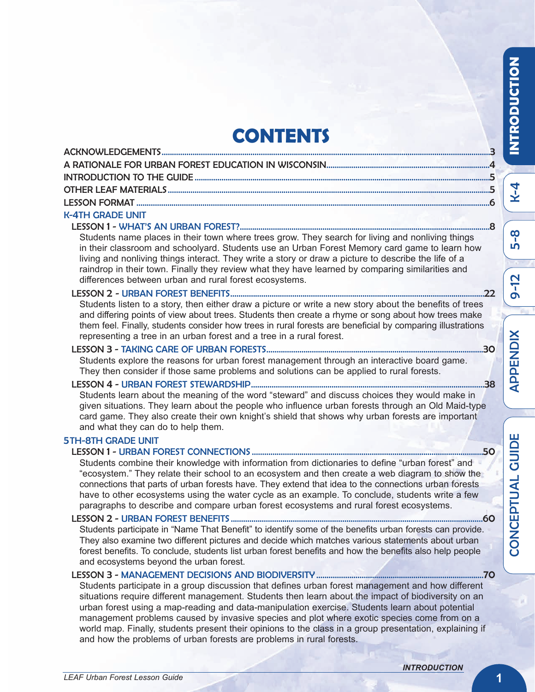## **CONTENTS**

| <b>U. ATLLODADE LINET</b> |  |
|---------------------------|--|

### K-4TH GRADE UNIT

### LESSON 1 - WHAT'S AN URBAN FOREST?.........................................................................................................................8

Students name places in their town where trees grow. They search for living and nonliving things in their classroom and schoolyard. Students use an Urban Forest Memory card game to learn how living and nonliving things interact. They write a story or draw a picture to describe the life of a raindrop in their town. Finally they review what they have learned by comparing similarities and differences between urban and rural forest ecosystems.

#### LESSON 2 - URBAN FOREST BENEFITS...........................................................................................................................22

Students listen to a story, then either draw a picture or write a new story about the benefits of trees and differing points of view about trees. Students then create a rhyme or song about how trees make them feel. Finally, students consider how trees in rural forests are beneficial by comparing illustrations representing a tree in an urban forest and a tree in a rural forest.

### LESSON 3 - TAKING CARE OF URBAN FORESTS.........................................................................................................30

Students explore the reasons for urban forest management through an interactive board game. They then consider if those same problems and solutions can be applied to rural forests.

### LESSON 4 - URBAN FOREST STEWARDSHIP.................................................................................................................38

Students learn about the meaning of the word "steward" and discuss choices they would make in given situations. They learn about the people who influence urban forests through an Old Maid-type card game. They also create their own knight's shield that shows why urban forests are important and what they can do to help them.

### 5TH-8TH GRADE UNIT

### LESSON 1 - URBAN FOREST CONNECTIONS ................................................................................................................50

Students combine their knowledge with information from dictionaries to define "urban forest" and "ecosystem." They relate their school to an ecosystem and then create a web diagram to show the connections that parts of urban forests have. They extend that idea to the connections urban forests have to other ecosystems using the water cycle as an example. To conclude, students write a few paragraphs to describe and compare urban forest ecosystems and rural forest ecosystems.

### LESSON 2 - URBAN FOREST BENEFITS ..........................................................................................................................60

Students participate in "Name That Benefit" to identify some of the benefits urban forests can provide. They also examine two different pictures and decide which matches various statements about urban forest benefits. To conclude, students list urban forest benefits and how the benefits also help people and ecosystems beyond the urban forest.

### LESSON 3 - MANAGEMENT DECISIONS AND BIODIVERSITY .................................................................................70

Students participate in a group discussion that defines urban forest management and how different situations require different management. Students then learn about the impact of biodiversity on an urban forest using a map-reading and data-manipulation exercise. Students learn about potential management problems caused by invasive species and plot where exotic species come from on a world map. Finally, students present their opinions to the class in a group presentation, explaining if and how the problems of urban forests are problems in rural forests.

**IN TRODUCTIO N**

K- 4

ŋ ၹူ

თ <u>ר</u><br>ב

щ <u>Δ</u> T  $\Box$  $\blacktriangleleft$  $\overline{\phantom{0}}$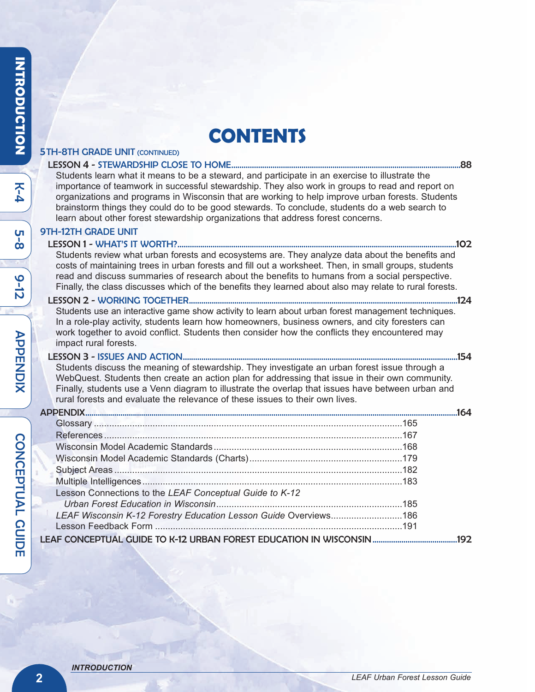### **CONTENTS**

#### 5TH-8TH GRADE UNIT (CONTINUED) LESSON 4 - STEWARDSHIP CLOSE TO HOME...............................................................................................................88 Students learn what it means to be a steward, and participate in an exercise to illustrate the importance of teamwork in successful stewardship. They also work in groups to read and report on organizations and programs in Wisconsin that are working to help improve urban forests. Students brainstorm things they could do to be good stewards. To conclude, students do a web search to learn about other forest stewardship organizations that address forest concerns. 9TH-12TH GRADE UNIT LESSON 1 - WHAT'S IT WORTH?.......................................................................................................................................102 Students review what urban forests and ecosystems are. They analyze data about the benefits and costs of maintaining trees in urban forests and fill out a worksheet. Then, in small groups, students read and discuss summaries of research about the benefits to humans from a social perspective. Finally, the class discusses which of the benefits they learned about also may relate to rural forests. LESSON 2 - WORKING TOGETHER..................................................................................................................................124 Students use an interactive game show activity to learn about urban forest management techniques. In a role-play activity, students learn how homeowners, business owners, and city foresters can work together to avoid conflict. Students then consider how the conflicts they encountered may impact rural forests. LESSON 3 - ISSUES AND ACTION.....................................................................................................................................154 Students discuss the meaning of stewardship. They investigate an urban forest issue through a WebQuest. Students then create an action plan for addressing that issue in their own community. Finally, students use a Venn diagram to illustrate the overlap that issues have between urban and rural forests and evaluate the relevance of these issues to their own lives. APPENDIX....................................................................................................................................................................................164 Glossary .........................................................................................................................165 References .....................................................................................................................167 Wisconsin Model Academic Standards..........................................................................168 Wisconsin Model Academic Standards (Charts)............................................................179 Subject Areas .................................................................................................................182 Multiple Intelligences......................................................................................................183 Lesson Connections to the *LEAF Conceptual Guide to K-12 Urban Forest Education in Wisconsin*.........................................................................185

LEAF CONCEPTUAL GUIDE TO K-12 URBAN FOREST EDUCATION IN WISCONSIN.........................................192

*LEAF Wisconsin K-12 Forestry Education Lesson Guide* Overviews............................186 Lesson Feedback Form .................................................................................................191

७  $\frac{1}{\mathsf{D}}$ 

E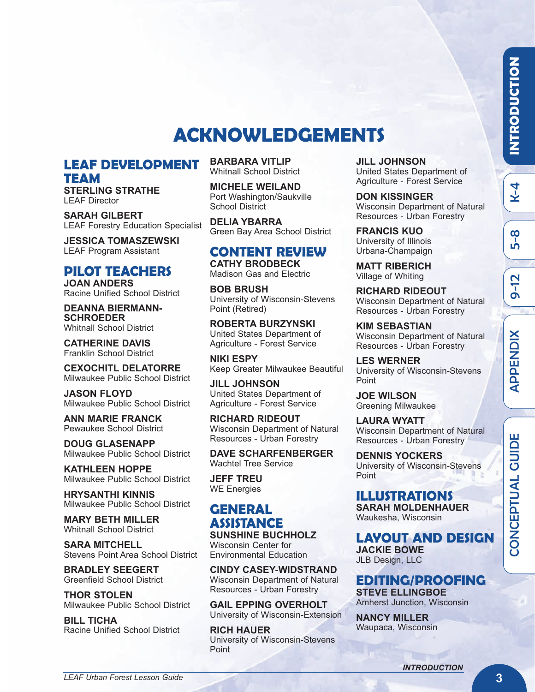K- 4

တု<br>ဟ

თ <u>ר</u><br>ב

### **ACKNOWLEDGEMENTS**

### **LEAF DEVELOPMENT TEAM**

**STERLING STRATHE** LEAF Director

**SARAH GILBERT** LEAF Forestry Education Specialist

**JESSICA TOMASZEWSKI** LEAF Program Assistant

### **PILOT TEACHERS**

**JOAN ANDERS** Racine Unified School District

**DEANNA BIERMANN-SCHROEDER** Whitnall School District

**CATHERINE DAVIS** Franklin School District

**CEXOCHITL DELATORRE** Milwaukee Public School District

**JASON FLOYD** Milwaukee Public School District

**ANN MARIE FRANCK** Pewaukee School District

**DOUG GLASENAPP** Milwaukee Public School District

**KATHLEEN HOPPE** Milwaukee Public School District

**HRYSANTHI KINNIS** Milwaukee Public School District

**MARY BETH MILLER** Whitnall School District

**SARA MITCHELL** Stevens Point Area School District

**BRADLEY SEEGERT** Greenfield School District

**THOR STOLEN** Milwaukee Public School District

**BILL TICHA** Racine Unified School District

*LEAF Urban Forest Lesson Guide*

**BARBARA VITLIP** Whitnall School District

**MICHELE WEILAND** Port Washington/Saukville School District

**DELIA YBARRA** Green Bay Area School District

### **CONTENT REVIEW**

**CATHY BRODBECK** Madison Gas and Electric

**BOB BRUSH** University of Wisconsin-Stevens Point (Retired)

**ROBERTA BURZYNSKI** United States Department of Agriculture - Forest Service

**NIKI ESPY** Keep Greater Milwaukee Beautiful

**JILL JOHNSON** United States Department of Agriculture - Forest Service

**RICHARD RIDEOUT** Wisconsin Department of Natural Resources - Urban Forestry

**DAVE SCHARFENBERGER** Wachtel Tree Service

**JEFF TREU** WE Energies

#### **GENERAL ASSISTANCE SUNSHINE BUCHHOLZ**

Wisconsin Center for Environmental Education

**CINDY CASEY-WIDSTRAND** Wisconsin Department of Natural Resources - Urban Forestry

**GAIL EPPING OVERHOLT** University of Wisconsin-Extension

**RICH HAUER** University of Wisconsin-Stevens Point

**JILL JOHNSON** United States Department of Agriculture - Forest Service

**DON KISSINGER** Wisconsin Department of Natural Resources - Urban Forestry

**FRANCIS KUO** University of Illinois Urbana-Champaign

**MATT RIBERICH** Village of Whiting

**RICHARD RIDEOUT** Wisconsin Department of Natural Resources - Urban Forestry

**KIM SEBASTIAN** Wisconsin Department of Natural Resources - Urban Forestry

**LES WERNER** University of Wisconsin-Stevens Point

**JOE WILSON** Greening Milwaukee

**LAURA WYATT** Wisconsin Department of Natural Resources - Urban Forestry

**DENNIS YOCKERS** University of Wisconsin-Stevens Point

### **ILLUSTRATIONS**

**SARAH MOLDENHAUER** Waukesha, Wisconsin

**LAYOUT AND DESIGN JACKIE BOWE** JLB Design, LLC

### **EDITING/PROOFING**

**STEVE ELLINGBOE** Amherst Junction, Wisconsin

**NANCY MILLER** Waupaca, Wisconsin  $\mathbf \omega$ OZ  $\mathbf C$ щ <u>Δ</u> T  $\Box$ 

Q.  $\mathbf \mu$ Z ี<br>อิ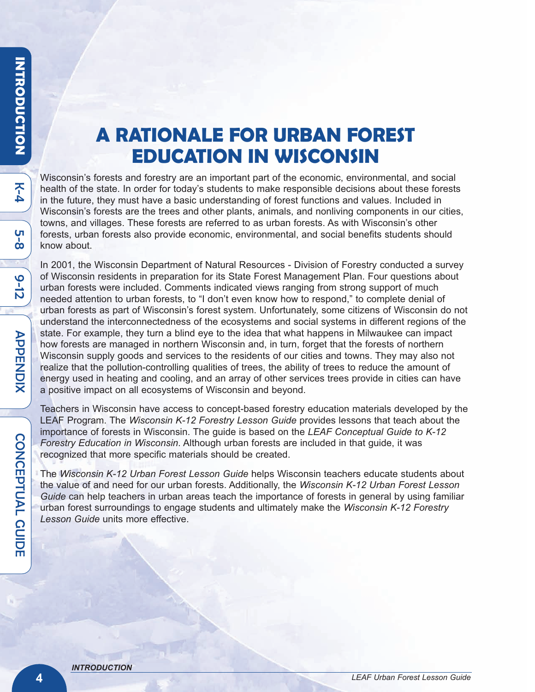K<br>4

ပု<br>ထ

७  $\frac{1}{\mathsf{D}}$ 

### **A RATIONALE FOR URBAN FOREST EDUCATION IN WISCONSIN**

Wisconsin's forests and forestry are an important part of the economic, environmental, and social health of the state. In order for today's students to make responsible decisions about these forests in the future, they must have a basic understanding of forest functions and values. Included in Wisconsin's forests are the trees and other plants, animals, and nonliving components in our cities, towns, and villages. These forests are referred to as urban forests. As with Wisconsin's other forests, urban forests also provide economic, environmental, and social benefits students should know about.

In 2001, the Wisconsin Department of Natural Resources - Division of Forestry conducted a survey of Wisconsin residents in preparation for its State Forest Management Plan. Four questions about urban forests were included. Comments indicated views ranging from strong support of much needed attention to urban forests, to "I don't even know how to respond," to complete denial of urban forests as part of Wisconsin's forest system. Unfortunately, some citizens of Wisconsin do not understand the interconnectedness of the ecosystems and social systems in different regions of the state. For example, they turn a blind eye to the idea that what happens in Milwaukee can impact how forests are managed in northern Wisconsin and, in turn, forget that the forests of northern Wisconsin supply goods and services to the residents of our cities and towns. They may also not realize that the pollution-controlling qualities of trees, the ability of trees to reduce the amount of energy used in heating and cooling, and an array of other services trees provide in cities can have a positive impact on all ecosystems of Wisconsin and beyond.

Teachers in Wisconsin have access to concept-based forestry education materials developed by the LEAF Program. The *Wisconsin K-12 Forestry Lesson Guide* provides lessons that teach about the importance of forests in Wisconsin. The guide is based on the *LEAF Conceptual Guide to K-12 Forestry Education in Wisconsin*. Although urban forests are included in that guide, it was recognized that more specific materials should be created.

The *Wisconsin K-12 Urban Forest Lesson Guide* helps Wisconsin teachers educate students about the value of and need for our urban forests. Additionally, the *Wisconsin K-12 Urban Forest Lesson Guide* can help teachers in urban areas teach the importance of forests in general by using familiar urban forest surroundings to engage students and ultimately make the *Wisconsin K-12 Forestry Lesson Guide* units more effective.

E

 $\blacktriangleright$  $\bf \overline{U}$  $\bf \sigma$  $\overline{\mathbf{H}}$ Z DIX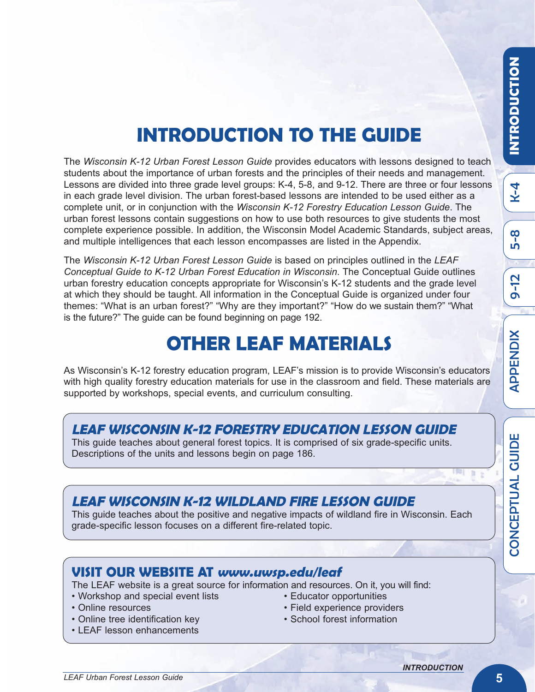თ <u>ר</u><br>ב

 $\blacktriangleleft$ 

 $\mathbb{R}$  2  $\sim$ 

 $\mathbf\omega$ 

# **INTRODUCTION TO THE GUIDE**

The *Wisconsin K-12 Urban Forest Lesson Guide* provides educators with lessons designed to teach students about the importance of urban forests and the principles of their needs and management. Lessons are divided into three grade level groups: K-4, 5-8, and 9-12. There are three or four lessons in each grade level division. The urban forest-based lessons are intended to be used either as a complete unit, or in conjunction with the *Wisconsin K-12 Forestry Education Lesson Guide*. The urban forest lessons contain suggestions on how to use both resources to give students the most complete experience possible. In addition, the Wisconsin Model Academic Standards, subject areas, and multiple intelligences that each lesson encompasses are listed in the Appendix.

The *Wisconsin K-12 Urban Forest Lesson Guide* is based on principles outlined in the *LEAF Conceptual Guide to K-12 Urban Forest Education in Wisconsin*. The Conceptual Guide outlines urban forestry education concepts appropriate for Wisconsin's K-12 students and the grade level at which they should be taught. All information in the Conceptual Guide is organized under four themes: "What is an urban forest?" "Why are they important?" "How do we sustain them?" "What is the future?" The guide can be found beginning on page 192.

### **OTHER LEAF MATERIALS**

As Wisconsin's K-12 forestry education program, LEAF's mission is to provide Wisconsin's educators with high quality forestry education materials for use in the classroom and field. These materials are supported by workshops, special events, and curriculum consulting.

### **LEAF WISCONSIN K-12 FORESTRY EDUCATION LESSON GUIDE**

This guide teaches about general forest topics. It is comprised of six grade-specific units. Descriptions of the units and lessons begin on page 186.

### **LEAF WISCONSIN K-12 WILDLAND FIRE LESSON GUIDE**

This guide teaches about the positive and negative impacts of wildland fire in Wisconsin. Each grade-specific lesson focuses on a different fire-related topic.

### **VISIT OUR WEBSITE AT www.uwsp.edu/leaf**

The LEAF website is a great source for information and resources. On it, you will find:

- Workshop and special event lists Educator opportunities
- 
- Online tree identification key School forest information
- LEAF lesson enhancements
- 
- Online resources Field experience providers
	-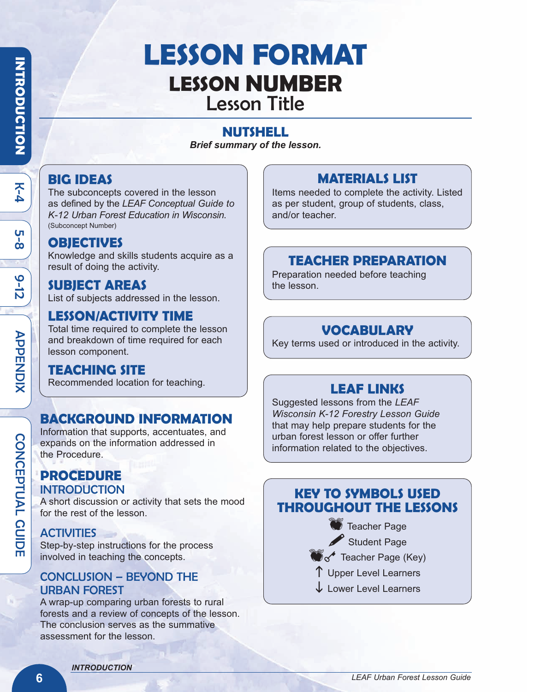K<br>4

ပု<br>ထ

७  $\frac{1}{\mathsf{D}}$ 

 $\blacktriangleright$  $\bf \overline{U}$  $\bf \sigma$  $\overline{\mathbf{H}}$ Z DIX

 $\boldsymbol{\mathsf{\Omega}}$ O Z  $\Omega_{\overline{\Pi}}$ 

D<br>L<br>C

A L  $\boldsymbol{\mathsf{\Omega}}$ UID E

# **LESSON FORMAT LESSON NUMBER** Lesson Title

### **NUTSHELL**

*Brief summary of the lesson.*

### **BIG IDEAS**

The subconcepts covered in the lesson as defined by the *LEAF Conceptual Guide to K-12 Urban Forest Education in Wisconsin*. (Subconcept Number)

### **OBJECTIVES**

Knowledge and skills students acquire as a result of doing the activity.

### **SUBJECT AREAS**

List of subjects addressed in the lesson.

### **LESSON/ACTIVITY TIME**

Total time required to complete the lesson and breakdown of time required for each lesson component.

### **TEACHING SITE**

Recommended location for teaching.

### **BACKGROUND INFORMATION**

Information that supports, accentuates, and expands on the information addressed in the Procedure.

### **PROCEDURE INTRODUCTION**

A short discussion or activity that sets the mood for the rest of the lesson.

### **ACTIVITIES**

Step-by-step instructions for the process involved in teaching the concepts.

### CONCLUSION – BEYOND THE URBAN FOREST

A wrap-up comparing urban forests to rural forests and a review of concepts of the lesson. The conclusion serves as the summative assessment for the lesson.

### **MATERIALS LIST**

Items needed to complete the activity. Listed as per student, group of students, class, and/or teacher.

### **TEACHER PREPARATION**

Preparation needed before teaching the lesson.

### **VOCABULARY**

Key terms used or introduced in the activity.

### **LEAF LINKS**

Suggested lessons from the *LEAF Wisconsin K-12 Forestry Lesson Guide* that may help prepare students for the urban forest lesson or offer further information related to the objectives.

### **KEY TO SYMBOLS USED THROUGHOUT THE LESSONS**

- **Teacher Page**
- Student Page
- $\mathbb{R}^4$  Teacher Page (Key)
- $\uparrow$  Upper Level Learners
- **J** Lower Level Learners